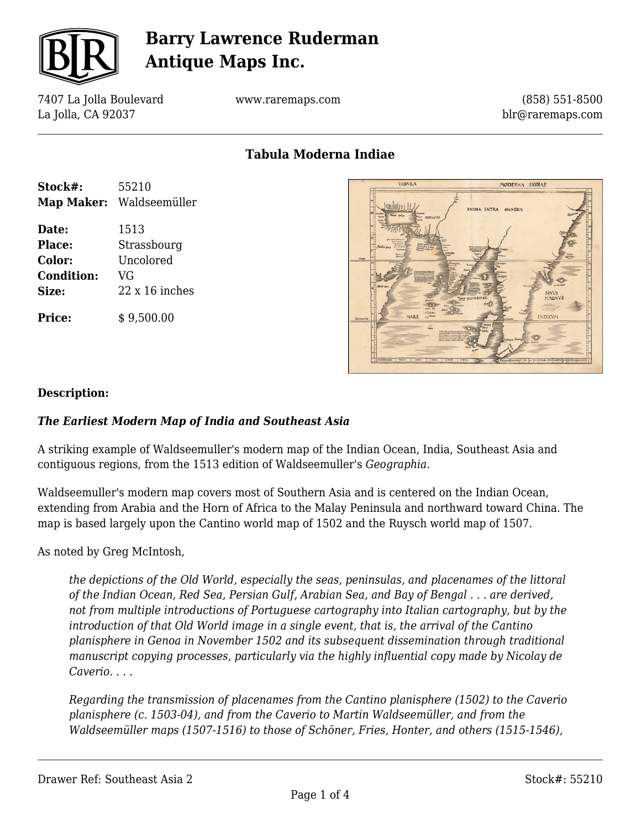

7407 La Jolla Boulevard La Jolla, CA 92037

www.raremaps.com

(858) 551-8500 blr@raremaps.com

### **Tabula Moderna Indiae**

| Stock#:           | 55210                 |  |
|-------------------|-----------------------|--|
| <b>Map Maker:</b> | Waldseemüller         |  |
| Date:             | 1513                  |  |
| Place:            | Strassbourg           |  |
| Color:            | Uncolored             |  |
| <b>Condition:</b> | VG                    |  |
| Size:             | $22 \times 16$ inches |  |
| <b>Price:</b>     | \$9,500.00            |  |

| <b>TABVLA</b>                                                                                                                                                   | MODERNA INDIAE                                                                              |                                                                         |
|-----------------------------------------------------------------------------------------------------------------------------------------------------------------|---------------------------------------------------------------------------------------------|-------------------------------------------------------------------------|
| Denna polio<br><b>Continental</b><br>CARMANIA<br>Critic<br><b>Harton point of the Alexander</b><br><b>Amary's</b><br>Atobic para<br>Cones'                      | INDIA INTRA GANGEM                                                                          | <b>Quickets</b><br>$\frac{3044}{25}$                                    |
| After pass<br>$cctu - 50$<br>$C$ -bitin<br>$\bigcirc^{\text{Zum}}$<br>MARE<br>Connection                                                                        | THEM SINVS GANGE<br>(Self)<br><b>Mandon</b>                                                 | $3 - 245$<br>SINVS<br>MAGNVS<br><b>INDICVM</b>                          |
| $\hat{=}$<br>redite auriline Womans of<br><b>In off more on</b><br>sharper or our of<br>and an in-<br>malami wake<br>intees.<br>$-1000$<br>$-1400 -$<br>1.70001 | Tapre<br>257<br>$t0t0t0$<br>a foreign in birth payber# nowled<br>false<br>$-7400$<br>ь<br>d | o l'Ibhant formaloj 5º 60 90 100 199 100 100 240 70 200 220 160 179 180 |

#### **Description:**

#### *The Earliest Modern Map of India and Southeast Asia*

A striking example of Waldseemuller's modern map of the Indian Ocean, India, Southeast Asia and contiguous regions, from the 1513 edition of Waldseemuller's *Geographia.*

Waldseemuller's modern map covers most of Southern Asia and is centered on the Indian Ocean, extending from Arabia and the Horn of Africa to the Malay Peninsula and northward toward China. The map is based largely upon the Cantino world map of 1502 and the Ruysch world map of 1507.

As noted by Greg McIntosh,

*the depictions of the Old World, especially the seas, peninsulas, and placenames of the littoral of the Indian Ocean, Red Sea, Persian Gulf, Arabian Sea, and Bay of Bengal . . . are derived, not from multiple introductions of Portuguese cartography into Italian cartography, but by the introduction of that Old World image in a single event, that is, the arrival of the Cantino planisphere in Genoa in November 1502 and its subsequent dissemination through traditional manuscript copying processes, particularly via the highly influential copy made by Nicolay de Caverio. . . .*

*Regarding the transmission of placenames from the Cantino planisphere (1502) to the Caverio planisphere (c. 1503-04), and from the Caverio to Martin Waldseemüller, and from the Waldseemüller maps (1507-1516) to those of Schöner, Fries, Honter, and others (1515-1546),*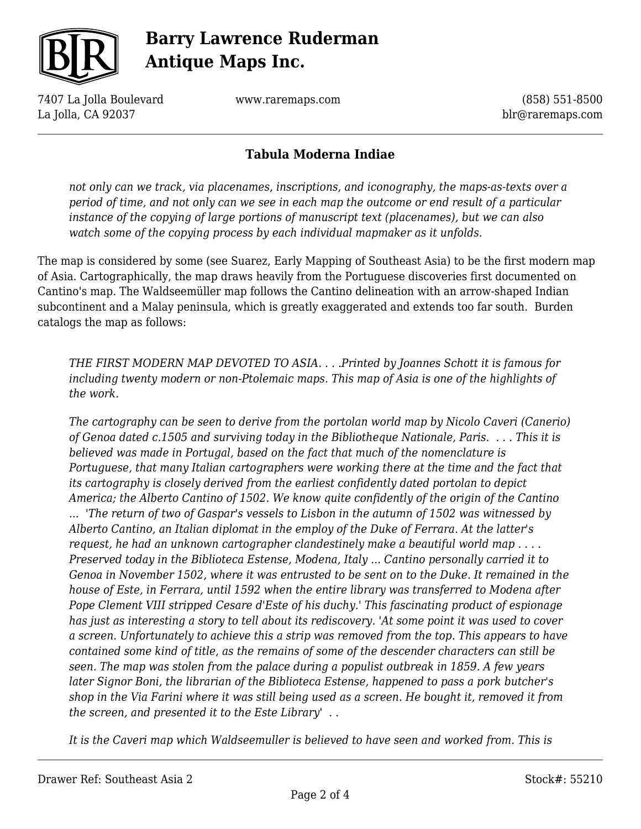

7407 La Jolla Boulevard La Jolla, CA 92037

www.raremaps.com

(858) 551-8500 blr@raremaps.com

### **Tabula Moderna Indiae**

*not only can we track, via placenames, inscriptions, and iconography, the maps-as-texts over a period of time, and not only can we see in each map the outcome or end result of a particular instance of the copying of large portions of manuscript text (placenames), but we can also watch some of the copying process by each individual mapmaker as it unfolds.*

The map is considered by some (see Suarez, Early Mapping of Southeast Asia) to be the first modern map of Asia. Cartographically, the map draws heavily from the Portuguese discoveries first documented on Cantino's map. The Waldseemüller map follows the Cantino delineation with an arrow-shaped Indian subcontinent and a Malay peninsula, which is greatly exaggerated and extends too far south. Burden catalogs the map as follows:

*THE FIRST MODERN MAP DEVOTED TO ASIA. . . .Printed by Joannes Schott it is famous for including twenty modern or non-Ptolemaic maps. This map of Asia is one of the highlights of the work.* 

*The cartography can be seen to derive from the portolan world map by Nicolo Caveri (Canerio) of Genoa dated c.1505 and surviving today in the Bibliotheque Nationale, Paris. . . . This it is believed was made in Portugal, based on the fact that much of the nomenclature is Portuguese, that many Italian cartographers were working there at the time and the fact that its cartography is closely derived from the earliest confidently dated portolan to depict America; the Alberto Cantino of 1502. We know quite confidently of the origin of the Cantino ... 'The return of two of Gaspar's vessels to Lisbon in the autumn of 1502 was witnessed by Alberto Cantino, an Italian diplomat in the employ of the Duke of Ferrara. At the latter's request, he had an unknown cartographer clandestinely make a beautiful world map . . . . Preserved today in the Biblioteca Estense, Modena, Italy ... Cantino personally carried it to Genoa in November 1502, where it was entrusted to be sent on to the Duke. It remained in the house of Este, in Ferrara, until 1592 when the entire library was transferred to Modena after Pope Clement VIII stripped Cesare d'Este of his duchy.' This fascinating product of espionage has just as interesting a story to tell about its rediscovery. 'At some point it was used to cover a screen. Unfortunately to achieve this a strip was removed from the top. This appears to have contained some kind of title, as the remains of some of the descender characters can still be seen. The map was stolen from the palace during a populist outbreak in 1859. A few years later Signor Boni, the librarian of the Biblioteca Estense, happened to pass a pork butcher's shop in the Via Farini where it was still being used as a screen. He bought it, removed it from the screen, and presented it to the Este Library' . .* 

*It is the Caveri map which Waldseemuller is believed to have seen and worked from. This is*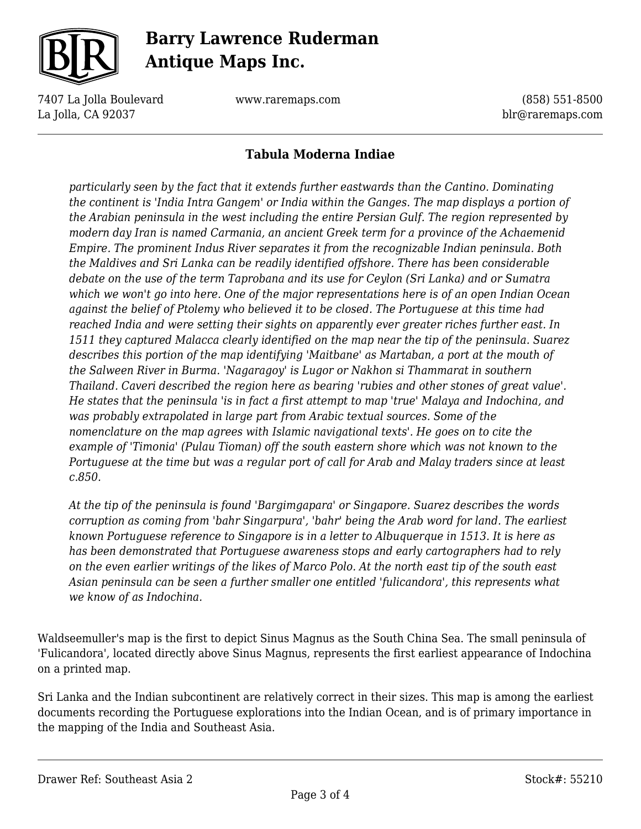

7407 La Jolla Boulevard La Jolla, CA 92037

www.raremaps.com

(858) 551-8500 blr@raremaps.com

### **Tabula Moderna Indiae**

*particularly seen by the fact that it extends further eastwards than the Cantino. Dominating the continent is 'India Intra Gangem' or India within the Ganges. The map displays a portion of the Arabian peninsula in the west including the entire Persian Gulf. The region represented by modern day Iran is named Carmania, an ancient Greek term for a province of the Achaemenid Empire. The prominent Indus River separates it from the recognizable Indian peninsula. Both the Maldives and Sri Lanka can be readily identified offshore. There has been considerable debate on the use of the term Taprobana and its use for Ceylon (Sri Lanka) and or Sumatra which we won't go into here. One of the major representations here is of an open Indian Ocean against the belief of Ptolemy who believed it to be closed. The Portuguese at this time had reached India and were setting their sights on apparently ever greater riches further east. In 1511 they captured Malacca clearly identified on the map near the tip of the peninsula. Suarez describes this portion of the map identifying 'Maitbane' as Martaban, a port at the mouth of the Salween River in Burma. 'Nagaragoy' is Lugor or Nakhon si Thammarat in southern Thailand. Caveri described the region here as bearing 'rubies and other stones of great value'. He states that the peninsula 'is in fact a first attempt to map 'true' Malaya and Indochina, and was probably extrapolated in large part from Arabic textual sources. Some of the nomenclature on the map agrees with Islamic navigational texts'. He goes on to cite the example of 'Timonia' (Pulau Tioman) off the south eastern shore which was not known to the Portuguese at the time but was a regular port of call for Arab and Malay traders since at least c.850.* 

*At the tip of the peninsula is found 'Bargimgapara' or Singapore. Suarez describes the words corruption as coming from 'bahr Singarpura', 'bahr' being the Arab word for land. The earliest known Portuguese reference to Singapore is in a letter to Albuquerque in 1513. It is here as has been demonstrated that Portuguese awareness stops and early cartographers had to rely on the even earlier writings of the likes of Marco Polo. At the north east tip of the south east Asian peninsula can be seen a further smaller one entitled 'fulicandora', this represents what we know of as Indochina.* 

Waldseemuller's map is the first to depict Sinus Magnus as the South China Sea. The small peninsula of 'Fulicandora', located directly above Sinus Magnus, represents the first earliest appearance of Indochina on a printed map.

Sri Lanka and the Indian subcontinent are relatively correct in their sizes. This map is among the earliest documents recording the Portuguese explorations into the Indian Ocean, and is of primary importance in the mapping of the India and Southeast Asia.